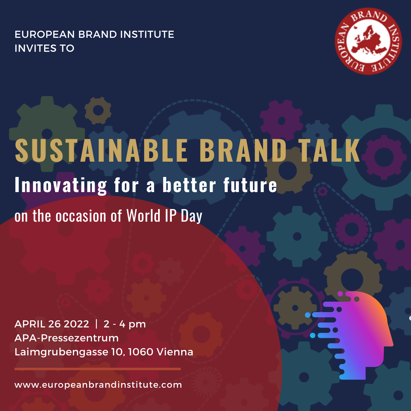EUROPEAN BRAND INSTITUTE INVITES TO



# **SUSTAINABLE BRAND TALK** on the occasion of World IP Day **Innovating for a better future**

APRIL 26 2022 | 2 - 4 pm APA-Pressezentrum Laimgrubengasse 10, 1060 Vienna

[www.europeanbrandinstitute.com](https://www.europeanbrandinstitute.com/)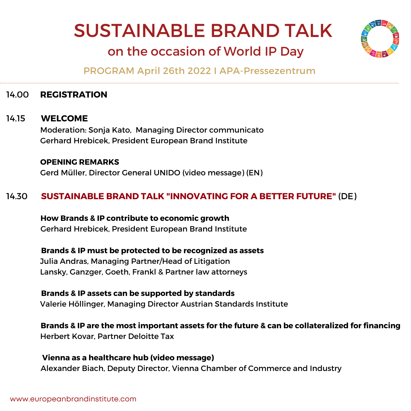# SUSTAINABLE BRAND TALK



## on the occasion of World IP Day

PROGRAM April 26th 2022 I APA-Pressezentrum

#### 14.00 **REGISTRATION**

#### 14.15 **WELCOME**

Moderation: Sonja Kato, Managing Director communicato Gerhard Hrebicek, President European Brand Institute

#### **OPENING REMARKS** Gerd Müller, Director General UNIDO (video message) (EN)

#### 14.30 **SUSTAINABLE BRAND TALK "INNOVATING FOR A BETTER FUTURE"** (DE)

**How Brands & IP contribute to economic growth** Gerhard Hrebicek, President European Brand Institute

**Brands & IP must be protected to be recognized as assets** Julia Andras, Managing Partner/Head of Litigation Lansky, Ganzger, Goeth, Frankl & Partner law attorneys

**Brands & IP assets can be supported by standards** Valerie Höllinger, Managing Director Austrian Standards Institute

**Brands & IP are the most important assets for the future & can be collateralized for financing** Herbert Kovar, Partner Deloitte Tax

**Vienna as a healthcare hub (video message)** Alexander Biach, Deputy Director, Vienna Chamber of Commerce and Industry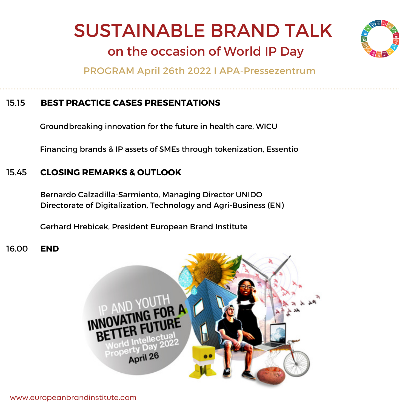## SUSTAINABLE BRAND TALK



## on the occasion of World IP Day

PROGRAM April 26th 2022 I APA-Pressezentrum

#### 15.15 **BEST PRACTICE CASES [PRESENTATIONS](https://www.europeanbrandinstitute.com/events-award/brand-life-award/brand-life-award-2019-sustainable-brand-talk/)**

Groundbreaking innovation for the future in health care, WICU

Financing brands & IP assets of SMEs through tokenization, Essentio

#### 15.45 **CLOSING REMARKS & OUTLOOK**

Bernardo Calzadilla-Sarmiento, Managing Director UNIDO Directorate of Digitalization, Technology and Agri-Business (EN)

Gerhard Hrebicek, President European Brand Institute

16.00 **END**